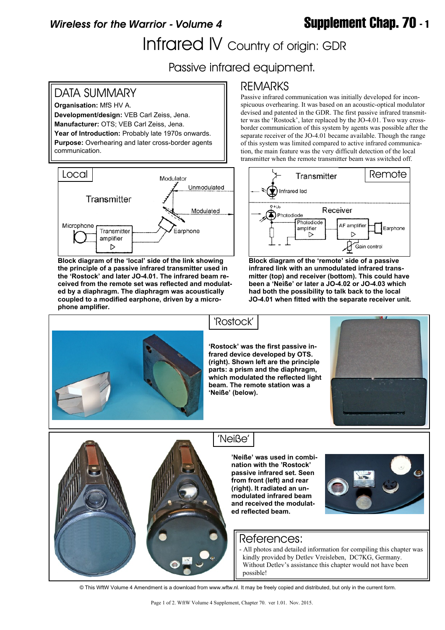# *Wireless for the Warrior - Volume 4* **Supplement Chap. 70 - 1**

Infrared IV Country of origin: GDR

Passive infrared equipment.

## DATA SUMMARY

**Organisation:** MfS HV A. **Development/design:** VEB Carl Zeiss, Jena. **Manufacturer:** OTS; VEB Carl Zeiss, Jena. **Year of Introduction:** Probably late 1970s onwards. **Purpose:** Overhearing and later cross-border agents communication.



**Block diagram of the 'local' side of the link showing the principle of a passive infrared transmitter used in the 'Rostock' and later JO-4.01. The infrared beam received from the remote set was reflected and modulated by a diaphragm. The diaphragm was acoustically coupled to a modified earphone, driven by a microphone amplifier.**

## REMARKS

Passive infrared communication was initially developed for inconspicuous overhearing. It was based on an acoustic-optical modulator devised and patented in the GDR. The first passive infrared transmitter was the 'Rostock', later replaced by the JO-4.01. Two way crossborder communication of this system by agents was possible after the separate receiver of the JO-4.01 became available. Though the range of this system was limited compared to active infrared communication, the main feature was the very difficult detection of the local transmitter when the remote transmitter beam was switched off.



**Block diagram of the 'remote' side of a passive infrared link with an unmodulated infrared transmitter (top) and receiver (bottom). This could have been a 'Neiße' or later a JO-4.02 or JO-4.03 which had both the possibility to talk back to the local JO-4.01 when fitted with the separate receiver unit.**



**'Rostock' was the first passive infrared device developed by OTS. (right). Shown left are the principle parts: a prism and the diaphragm, which modulated the reflected light beam. The remote station was a 'Neiße' (below).**





### 'Neiße'

'Rostock'

**'Neiße' was used in combination with the 'Rostock' passive infrared set. Seen from front (left) and rear (right). It radiated an unmodulated infrared beam and received the modulated reflected beam.**



### References:

- All photos and detailed information for compiling this chapter was kindly provided by Detlev Vreisleben, DC7KG, Germany. Without Detley's assistance this chapter would not have been possible!

© This WftW Volume 4 Amendment is a download from www.wftw.nl. It may be freely copied and distributed, but only in the current form.